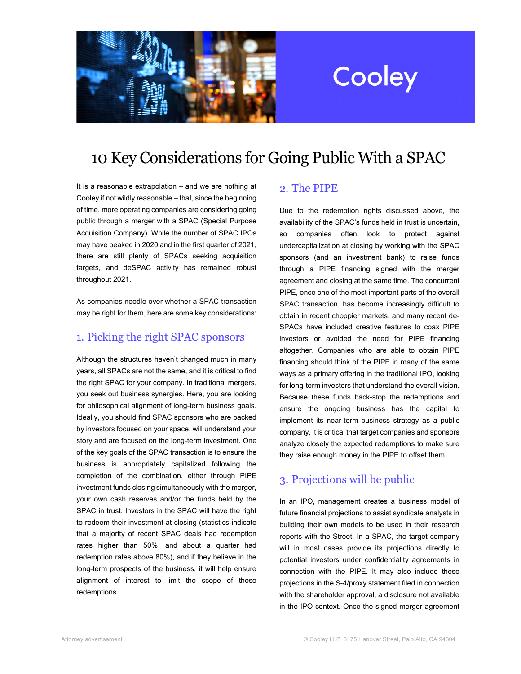

# Cooley

## 10 Key Considerations for Going Public With a SPAC

It is a reasonable extrapolation – and we are nothing at Cooley if not wildly reasonable – that, since the beginning of time, more operating companies are considering going public through a merger with a SPAC (Special Purpose Acquisition Company). While the number of SPAC IPOs may have peaked in 2020 and in the first quarter of 2021, there are still plenty of SPACs seeking acquisition targets, and deSPAC activity has remained robust throughout 2021.

As companies noodle over whether a SPAC transaction may be right for them, here are some key considerations:

#### 1. Picking the right SPAC sponsors

Although the structures haven't changed much in many years, all SPACs are not the same, and it is critical to find the right SPAC for your company. In traditional mergers, you seek out business synergies. Here, you are looking for philosophical alignment of long-term business goals. Ideally, you should find SPAC sponsors who are backed by investors focused on your space, will understand your story and are focused on the long-term investment. One of the key goals of the SPAC transaction is to ensure the business is appropriately capitalized following the completion of the combination, either through PIPE investment funds closing simultaneously with the merger, your own cash reserves and/or the funds held by the SPAC in trust. Investors in the SPAC will have the right to redeem their investment at closing (statistics indicate that a majority of recent SPAC deals had redemption rates higher than 50%, and about a quarter had redemption rates above 80%), and if they believe in the long-term prospects of the business, it will help ensure alignment of interest to limit the scope of those redemptions.

#### 2. The PIPE

Due to the redemption rights discussed above, the availability of the SPAC's funds held in trust is uncertain, so companies often look to protect against undercapitalization at closing by working with the SPAC sponsors (and an investment bank) to raise funds through a PIPE financing signed with the merger agreement and closing at the same time. The concurrent PIPE, once one of the most important parts of the overall SPAC transaction, has become increasingly difficult to obtain in recent choppier markets, and many recent de-SPACs have included creative features to coax PIPE investors or avoided the need for PIPE financing altogether. Companies who are able to obtain PIPE financing should think of the PIPE in many of the same ways as a primary offering in the traditional IPO, looking for long-term investors that understand the overall vision. Because these funds back-stop the redemptions and ensure the ongoing business has the capital to implement its near-term business strategy as a public company, it is critical that target companies and sponsors analyze closely the expected redemptions to make sure they raise enough money in the PIPE to offset them.

#### 3. Projections will be public

In an IPO, management creates a business model of future financial projections to assist syndicate analysts in building their own models to be used in their research reports with the Street. In a SPAC, the target company will in most cases provide its projections directly to potential investors under confidentiality agreements in connection with the PIPE. It may also include these projections in the S-4/proxy statement filed in connection with the shareholder approval, a disclosure not available in the IPO context. Once the signed merger agreement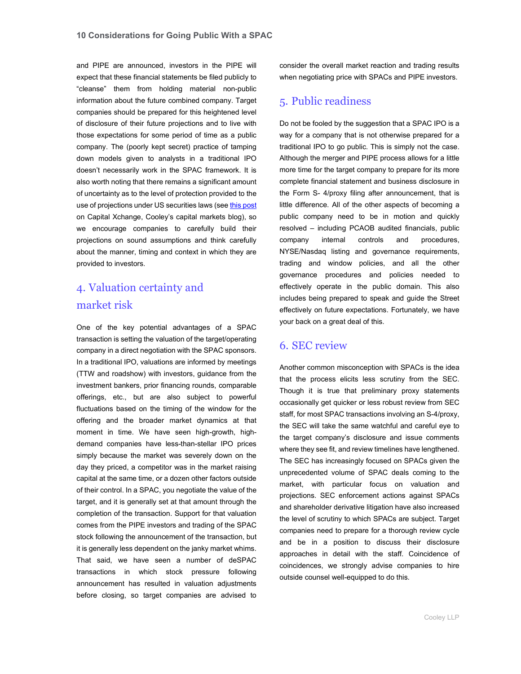and PIPE are announced, investors in the PIPE will expect that these financial statements be filed publicly to "cleanse" them from holding material non-public information about the future combined company. Target companies should be prepared for this heightened level of disclosure of their future projections and to live with those expectations for some period of time as a public company. The (poorly kept secret) practice of tamping down models given to analysts in a traditional IPO doesn't necessarily work in the SPAC framework. It is also worth noting that there remains a significant amount of uncertainty as to the level of protection provided to the use of projections under US securities laws (se[e this post](https://capx.cooley.com/2021/09/13/secs-investor-advisory-committee-to-consider-recommendations-regarding-spacs/) on Capital Xchange, Cooley's capital markets blog), so we encourage companies to carefully build their projections on sound assumptions and think carefully about the manner, timing and context in which they are provided to investors.

### 4. Valuation certainty and market risk

One of the key potential advantages of a SPAC transaction is setting the valuation of the target/operating company in a direct negotiation with the SPAC sponsors. In a traditional IPO, valuations are informed by meetings (TTW and roadshow) with investors, guidance from the investment bankers, prior financing rounds, comparable offerings, etc., but are also subject to powerful fluctuations based on the timing of the window for the offering and the broader market dynamics at that moment in time. We have seen high-growth, highdemand companies have less-than-stellar IPO prices simply because the market was severely down on the day they priced, a competitor was in the market raising capital at the same time, or a dozen other factors outside of their control. In a SPAC, you negotiate the value of the target, and it is generally set at that amount through the completion of the transaction. Support for that valuation comes from the PIPE investors and trading of the SPAC stock following the announcement of the transaction, but it is generally less dependent on the janky market whims. That said, we have seen a number of deSPAC transactions in which stock pressure following announcement has resulted in valuation adjustments before closing, so target companies are advised to

consider the overall market reaction and trading results when negotiating price with SPACs and PIPE investors.

#### 5. Public readiness

Do not be fooled by the suggestion that a SPAC IPO is a way for a company that is not otherwise prepared for a traditional IPO to go public. This is simply not the case. Although the merger and PIPE process allows for a little more time for the target company to prepare for its more complete financial statement and business disclosure in the Form S- 4/proxy filing after announcement, that is little difference. All of the other aspects of becoming a public company need to be in motion and quickly resolved – including PCAOB audited financials, public company internal controls and procedures, NYSE/Nasdaq listing and governance requirements, trading and window policies, and all the other governance procedures and policies needed to effectively operate in the public domain. This also includes being prepared to speak and guide the Street effectively on future expectations. Fortunately, we have your back on a great deal of this.

#### 6. SEC review

Another common misconception with SPACs is the idea that the process elicits less scrutiny from the SEC. Though it is true that preliminary proxy statements occasionally get quicker or less robust review from SEC staff, for most SPAC transactions involving an S-4/proxy, the SEC will take the same watchful and careful eye to the target company's disclosure and issue comments where they see fit, and review timelines have lengthened. The SEC has increasingly focused on SPACs given the unprecedented volume of SPAC deals coming to the market, with particular focus on valuation and projections. SEC enforcement actions against SPACs and shareholder derivative litigation have also increased the level of scrutiny to which SPACs are subject. Target companies need to prepare for a thorough review cycle and be in a position to discuss their disclosure approaches in detail with the staff. Coincidence of coincidences, we strongly advise companies to hire outside counsel well-equipped to do this.